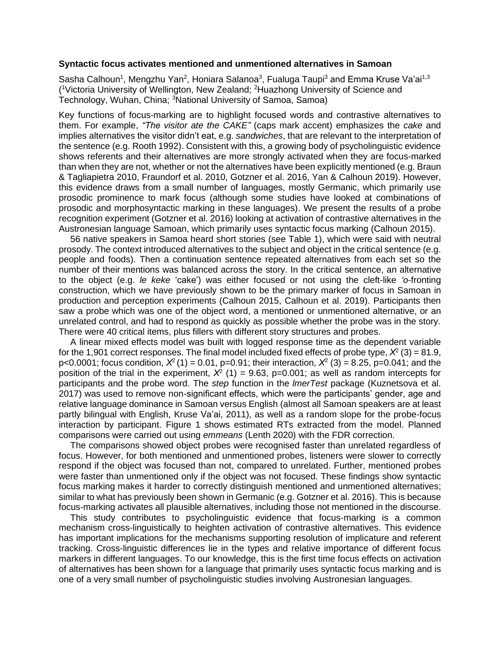## **Syntactic focus activates mentioned and unmentioned alternatives in Samoan**

Sasha Calhoun<sup>1</sup>, Mengzhu Yan<sup>2</sup>, Honiara Salanoa<sup>3</sup>, Fualuga Taupi<sup>3</sup> and Emma Kruse Va'ai<sup>1,3</sup> ( <sup>1</sup>Victoria University of Wellington, New Zealand; <sup>2</sup>Huazhong University of Science and Technology, Wuhan, China; <sup>3</sup>National University of Samoa, Samoa)

Key functions of focus-marking are to highlight focused words and contrastive alternatives to them. For example, *"The visitor ate the CAKE"* (caps mark accent) emphasizes the *cake* and implies alternatives the visitor didn't eat, e.g. *sandwiches*, that are relevant to the interpretation of the sentence (e.g. Rooth 1992). Consistent with this, a growing body of psycholinguistic evidence shows referents and their alternatives are more strongly activated when they are focus-marked than when they are not, whether or not the alternatives have been explicitly mentioned (e.g. Braun & Tagliapietra 2010, Fraundorf et al. 2010, Gotzner et al. 2016, Yan & Calhoun 2019). However, this evidence draws from a small number of languages, mostly Germanic, which primarily use prosodic prominence to mark focus (although some studies have looked at combinations of prosodic and morphosyntactic marking in these languages). We present the results of a probe recognition experiment (Gotzner et al. 2016) looking at activation of contrastive alternatives in the Austronesian language Samoan, which primarily uses syntactic focus marking (Calhoun 2015).

56 native speakers in Samoa heard short stories (see Table 1), which were said with neutral prosody. The context introduced alternatives to the subject and object in the critical sentence (e.g. people and foods). Then a continuation sentence repeated alternatives from each set so the number of their mentions was balanced across the story. In the critical sentence, an alternative to the object (e.g. *le keke* 'cake') was either focused or not using the cleft-like *'o*-fronting construction, which we have previously shown to be the primary marker of focus in Samoan in production and perception experiments (Calhoun 2015, Calhoun et al. 2019). Participants then saw a probe which was one of the object word, a mentioned or unmentioned alternative, or an unrelated control, and had to respond as quickly as possible whether the probe was in the story. There were 40 critical items, plus fillers with different story structures and probes.

A linear mixed effects model was built with logged response time as the dependent variable for the 1,901 correct responses. The final model included fixed effects of probe type,  $X^2$  (3) = 81.9, p<0.0001; focus condition,  $X^2(1) = 0.01$ , p=0.91; their interaction,  $X^2(3) = 8.25$ , p=0.041; and the position of the trial in the experiment,  $X^2$  (1) = 9.63, p=0.001; as well as random intercepts for participants and the probe word. The *step* function in the *lmerTest* package (Kuznetsova et al. 2017) was used to remove non-significant effects, which were the participants' gender, age and relative language dominance in Samoan versus English (almost all Samoan speakers are at least partly bilingual with English, Kruse Va'ai, 2011), as well as a random slope for the probe-focus interaction by participant. Figure 1 shows estimated RTs extracted from the model. Planned comparisons were carried out using *emmeans* (Lenth 2020) with the FDR correction.

The comparisons showed object probes were recognised faster than unrelated regardless of focus. However, for both mentioned and unmentioned probes, listeners were slower to correctly respond if the object was focused than not, compared to unrelated. Further, mentioned probes were faster than unmentioned only if the object was not focused. These findings show syntactic focus marking makes it harder to correctly distinguish mentioned and unmentioned alternatives; similar to what has previously been shown in Germanic (e.g. Gotzner et al. 2016). This is because focus-marking activates all plausible alternatives, including those not mentioned in the discourse.

This study contributes to psycholinguistic evidence that focus-marking is a common mechanism cross-linguistically to heighten activation of contrastive alternatives. This evidence has important implications for the mechanisms supporting resolution of implicature and referent tracking. Cross-linguistic differences lie in the types and relative importance of different focus markers in different languages. To our knowledge, this is the first time focus effects on activation of alternatives has been shown for a language that primarily uses syntactic focus marking and is one of a very small number of psycholinguistic studies involving Austronesian languages.